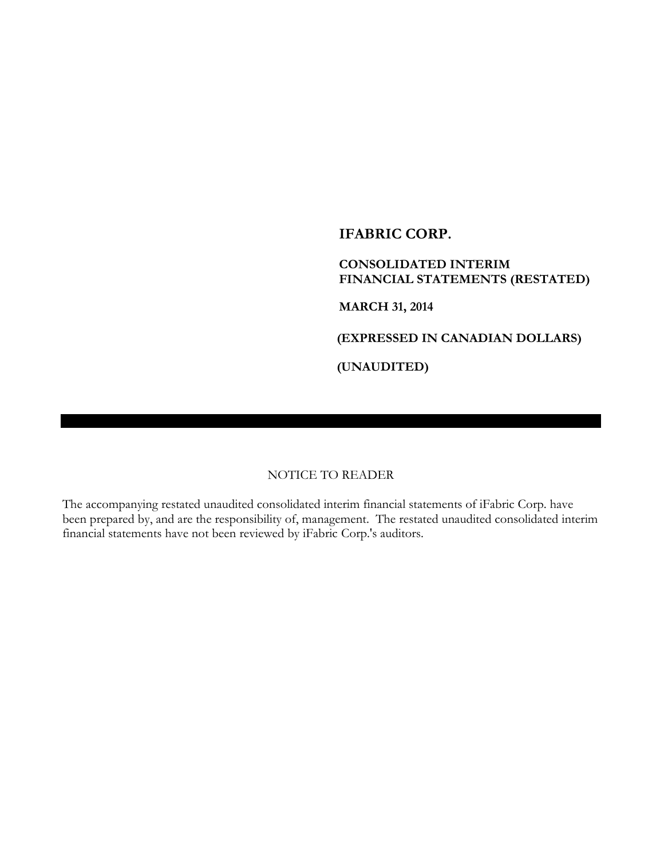**CONSOLIDATED INTERIM FINANCIAL STATEMENTS (RESTATED)**

**MARCH 31, 2014**

**(EXPRESSED IN CANADIAN DOLLARS)**

**(UNAUDITED)**

### NOTICE TO READER

The accompanying restated unaudited consolidated interim financial statements of iFabric Corp. have been prepared by, and are the responsibility of, management. The restated unaudited consolidated interim financial statements have not been reviewed by iFabric Corp.'s auditors.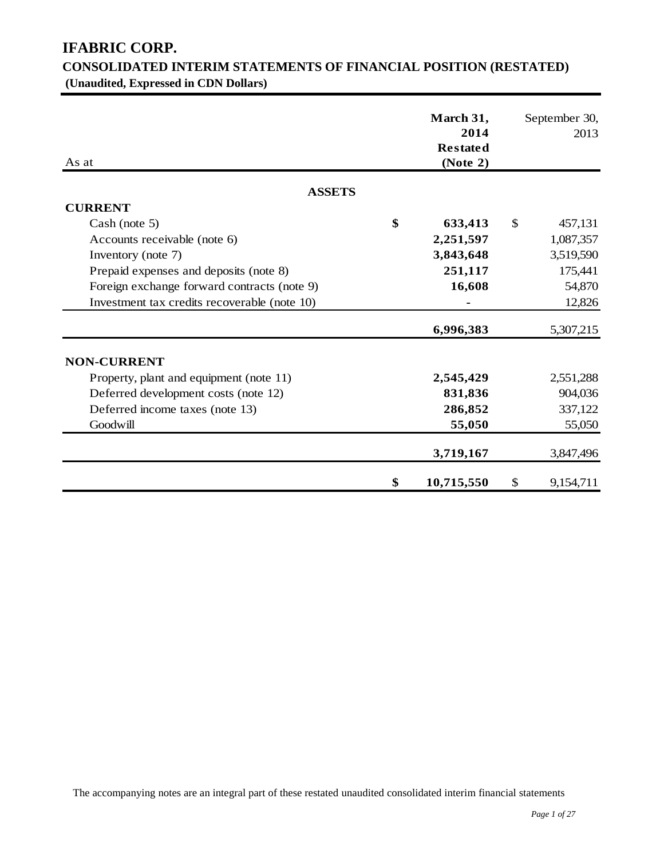| As at                                        | March 31,<br>2014<br><b>Restated</b><br>(Note 2) | September 30,<br>2013 |
|----------------------------------------------|--------------------------------------------------|-----------------------|
| <b>ASSETS</b>                                |                                                  |                       |
| <b>CURRENT</b>                               |                                                  |                       |
| Cash (note 5)                                | \$<br>633,413                                    | \$<br>457,131         |
| Accounts receivable (note 6)                 | 2,251,597                                        | 1,087,357             |
| Inventory (note 7)                           | 3,843,648                                        | 3,519,590             |
| Prepaid expenses and deposits (note 8)       | 251,117                                          | 175,441               |
| Foreign exchange forward contracts (note 9)  | 16,608                                           | 54,870                |
| Investment tax credits recoverable (note 10) |                                                  | 12,826                |
|                                              | 6,996,383                                        | 5,307,215             |
| <b>NON-CURRENT</b>                           |                                                  |                       |
| Property, plant and equipment (note 11)      | 2,545,429                                        | 2,551,288             |
| Deferred development costs (note 12)         | 831,836                                          | 904,036               |
| Deferred income taxes (note 13)              | 286,852                                          | 337,122               |
| Goodwill                                     | 55,050                                           | 55,050                |
|                                              | 3,719,167                                        | 3,847,496             |
|                                              | \$<br>10,715,550                                 | \$<br>9,154,711       |

# **CONSOLIDATED INTERIM STATEMENTS OF FINANCIAL POSITION (RESTATED) (Unaudited, Expressed in CDN Dollars)**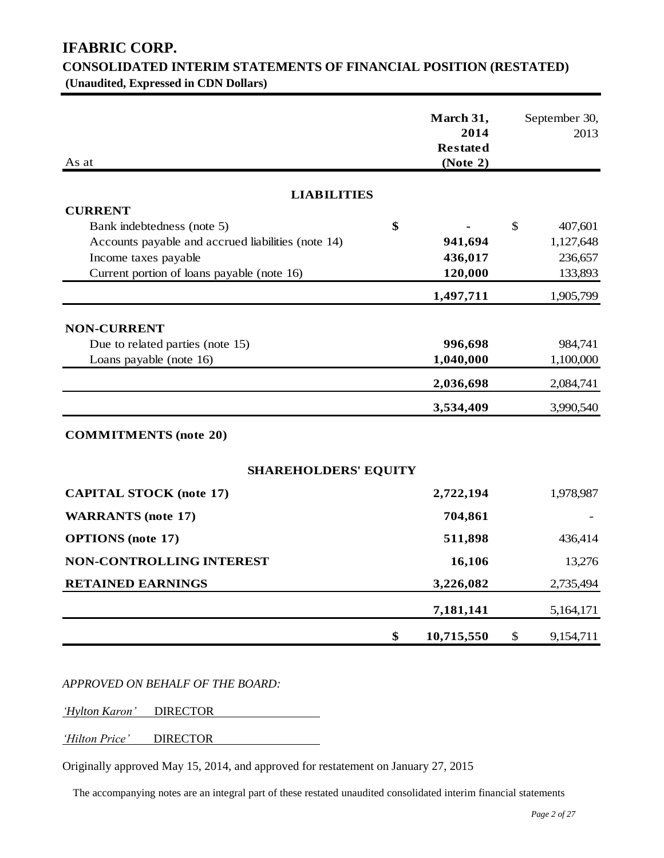| <b>CONSOLIDATED INTERIM STATEMENTS OF FINANCIAL POSITION (RESTATED)</b> |  |
|-------------------------------------------------------------------------|--|
| (Unaudited, Expressed in CDN Dollars)                                   |  |

| As at                                              | March 31,<br>2014<br><b>Restated</b><br>(Note 2) |              | September 30,<br>2013 |
|----------------------------------------------------|--------------------------------------------------|--------------|-----------------------|
| <b>LIABILITIES</b>                                 |                                                  |              |                       |
| <b>CURRENT</b>                                     |                                                  |              |                       |
| Bank indebtedness (note 5)                         | \$                                               | $\mathbb{S}$ | 407,601               |
| Accounts payable and accrued liabilities (note 14) | 941,694                                          |              | 1,127,648             |
| Income taxes payable                               | 436,017                                          |              | 236,657               |
| Current portion of loans payable (note 16)         | 120,000                                          |              | 133,893               |
|                                                    | 1,497,711                                        |              | 1,905,799             |
| <b>NON-CURRENT</b>                                 |                                                  |              |                       |
| Due to related parties (note 15)                   | 996,698                                          |              | 984,741               |
| Loans payable (note 16)                            | 1,040,000                                        |              | 1,100,000             |
|                                                    | 2,036,698                                        |              | 2,084,741             |
|                                                    | 3,534,409                                        |              | 3,990,540             |
| <b>COMMITMENTS</b> (note 20)                       |                                                  |              |                       |
| <b>SHAREHOLDERS' EQUITY</b>                        |                                                  |              |                       |
| <b>CAPITAL STOCK (note 17)</b>                     | 2,722,194                                        |              | 1,978,987             |
| <b>WARRANTS</b> (note 17)                          | 704,861                                          |              |                       |
| <b>OPTIONS</b> (note 17)                           | 511,898                                          |              | 436,414               |
| <b>NON-CONTROLLING INTEREST</b>                    | 16,106                                           |              | 13,276                |
| <b>RETAINED EARNINGS</b>                           | 3,226,082                                        |              | 2,735,494             |
|                                                    | 7,181,141                                        |              | 5,164,171             |
|                                                    | \$<br>10,715,550                                 | \$           | 9,154,711             |

*APPROVED ON BEHALF OF THE BOARD:*

*'Hylton Karon'* DIRECTOR

*'Hilton Price'* DIRECTOR

Originally approved May 15, 2014, and approved for restatement on January 27, 2015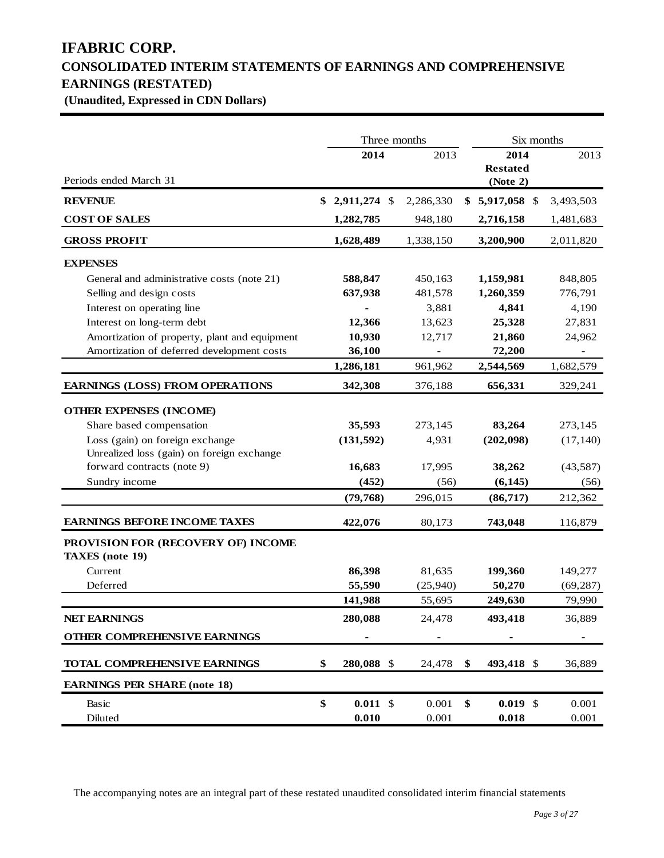# **IFABRIC CORP. CONSOLIDATED INTERIM STATEMENTS OF EARNINGS AND COMPREHENSIVE EARNINGS (RESTATED) (Unaudited, Expressed in CDN Dollars)**

|                                                              | Three months     |           | Six months                          |           |  |
|--------------------------------------------------------------|------------------|-----------|-------------------------------------|-----------|--|
| Periods ended March 31                                       | 2014             | 2013      | 2014<br><b>Restated</b><br>(Note 2) | 2013      |  |
| <b>REVENUE</b>                                               | $$2,911,274$ \\$ | 2,286,330 | $$5,917,058$ \$                     | 3,493,503 |  |
| <b>COST OF SALES</b>                                         | 1,282,785        | 948,180   | 2,716,158                           | 1,481,683 |  |
| <b>GROSS PROFIT</b>                                          | 1,628,489        | 1,338,150 | 3,200,900                           | 2,011,820 |  |
| <b>EXPENSES</b>                                              |                  |           |                                     |           |  |
| General and administrative costs (note 21)                   | 588,847          | 450,163   | 1,159,981                           | 848,805   |  |
| Selling and design costs                                     | 637,938          | 481,578   | 1,260,359                           | 776,791   |  |
| Interest on operating line                                   |                  | 3,881     | 4,841                               | 4,190     |  |
| Interest on long-term debt                                   | 12,366           | 13,623    | 25,328                              | 27,831    |  |
| Amortization of property, plant and equipment                | 10,930           | 12,717    | 21,860                              | 24,962    |  |
| Amortization of deferred development costs                   | 36,100           |           | 72,200                              |           |  |
|                                                              | 1,286,181        | 961,962   | 2,544,569                           | 1,682,579 |  |
| <b>EARNINGS (LOSS) FROM OPERATIONS</b>                       | 342,308          | 376,188   | 656,331                             | 329,241   |  |
| <b>OTHER EXPENSES (INCOME)</b>                               |                  |           |                                     |           |  |
| Share based compensation                                     | 35,593           | 273,145   | 83,264                              | 273,145   |  |
| Loss (gain) on foreign exchange                              | (131, 592)       | 4,931     | (202,098)                           | (17, 140) |  |
| Unrealized loss (gain) on foreign exchange                   |                  |           |                                     |           |  |
| forward contracts (note 9)                                   | 16,683           | 17,995    | 38,262                              | (43, 587) |  |
| Sundry income                                                | (452)            | (56)      | (6, 145)                            | (56)      |  |
|                                                              | (79, 768)        | 296,015   | (86, 717)                           | 212,362   |  |
| <b>EARNINGS BEFORE INCOME TAXES</b>                          | 422,076          | 80,173    | 743,048                             | 116,879   |  |
| PROVISION FOR (RECOVERY OF) INCOME<br><b>TAXES</b> (note 19) |                  |           |                                     |           |  |
| Current                                                      | 86,398           | 81,635    | 199,360                             | 149,277   |  |
| Deferred                                                     | 55,590           | (25,940)  | 50,270                              | (69, 287) |  |
|                                                              | 141,988          | 55,695    | 249,630                             | 79,990    |  |
| <b>NET EARNINGS</b>                                          | 280,088          | 24,478    | 493,418                             | 36,889    |  |
| OTHER COMPREHENSIVE EARNINGS                                 |                  |           |                                     |           |  |
| <b>TOTAL COMPREHENSIVE EARNINGS</b>                          | \$<br>280,088 \$ | 24,478    | \$<br>493,418 \$                    | 36,889    |  |
| <b>EARNINGS PER SHARE (note 18)</b>                          |                  |           |                                     |           |  |
| Basic                                                        | \$<br>$0.011$ \$ | 0.001     | \$<br>$0.019$ \$                    | 0.001     |  |
| Diluted                                                      | 0.010            | 0.001     | 0.018                               | 0.001     |  |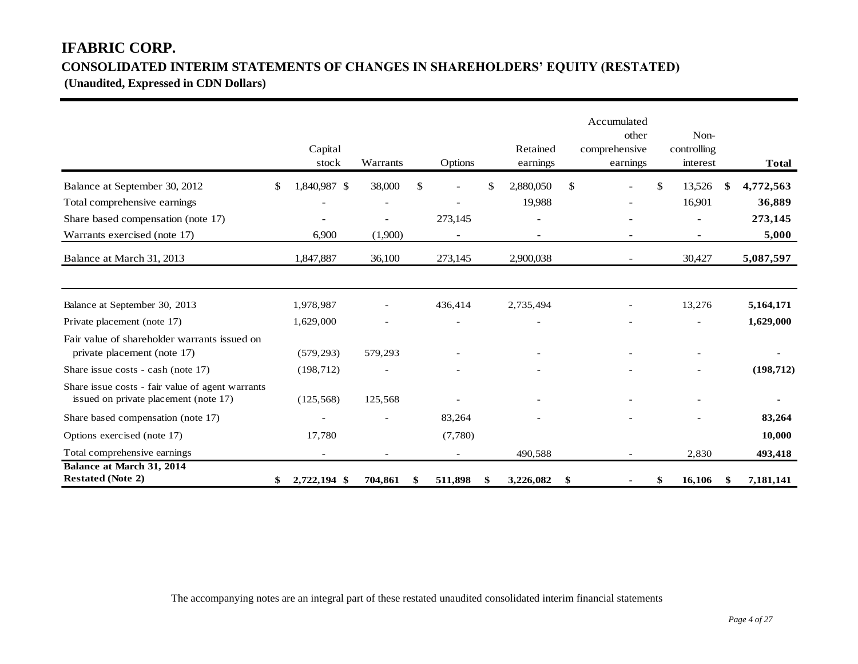# **IFABRIC CORP. CONSOLIDATED INTERIM STATEMENTS OF CHANGES IN SHAREHOLDERS' EQUITY (RESTATED)**

**(Unaudited, Expressed in CDN Dollars)** 

|                                                                                           | Capital                  |                          |              |                          | Retained        |              | Accumulated<br>other<br>comprehensive | Non-<br>controlling |     |              |
|-------------------------------------------------------------------------------------------|--------------------------|--------------------------|--------------|--------------------------|-----------------|--------------|---------------------------------------|---------------------|-----|--------------|
|                                                                                           | stock                    | Warrants                 |              | Options                  | earnings        |              | earnings                              | interest            |     | <b>Total</b> |
| Balance at September 30, 2012                                                             | \$<br>1,840,987 \$       | 38,000                   | $\mathbb{S}$ | $\overline{a}$           | \$<br>2,880,050 | $\mathbb{S}$ |                                       | \$<br>13,526        | -\$ | 4,772,563    |
| Total comprehensive earnings                                                              |                          | $\overline{\phantom{a}}$ |              | $\overline{\phantom{a}}$ | 19,988          |              |                                       | 16,901              |     | 36,889       |
| Share based compensation (note 17)                                                        |                          |                          |              | 273,145                  |                 |              |                                       |                     |     | 273,145      |
| Warrants exercised (note 17)                                                              | 6,900                    | (1,900)                  |              |                          |                 |              |                                       |                     |     | 5,000        |
| Balance at March 31, 2013                                                                 | 1,847,887                | 36,100                   |              | 273,145                  | 2,900,038       |              |                                       | 30,427              |     | 5,087,597    |
|                                                                                           |                          |                          |              |                          |                 |              |                                       |                     |     |              |
| Balance at September 30, 2013                                                             | 1,978,987                |                          |              | 436,414                  | 2,735,494       |              |                                       | 13,276              |     | 5,164,171    |
| Private placement (note 17)                                                               | 1,629,000                |                          |              |                          |                 |              |                                       |                     |     | 1,629,000    |
| Fair value of shareholder warrants issued on<br>private placement (note 17)               | (579, 293)               | 579,293                  |              |                          |                 |              |                                       |                     |     |              |
| Share issue costs - cash (note 17)                                                        | (198, 712)               |                          |              |                          |                 |              |                                       |                     |     | (198, 712)   |
| Share issue costs - fair value of agent warrants<br>issued on private placement (note 17) | (125, 568)               | 125,568                  |              |                          |                 |              |                                       |                     |     |              |
| Share based compensation (note 17)                                                        |                          |                          |              | 83,264                   |                 |              |                                       |                     |     | 83,264       |
| Options exercised (note 17)                                                               | 17,780                   |                          |              | (7,780)                  |                 |              |                                       |                     |     | 10,000       |
| Total comprehensive earnings                                                              | $\overline{\phantom{a}}$ | $\overline{\phantom{a}}$ |              | $\overline{\phantom{a}}$ | 490,588         |              | $\overline{\phantom{a}}$              | 2,830               |     | 493,418      |
| Balance at March 31, 2014<br><b>Restated (Note 2)</b>                                     | \$<br>2,722,194 \$       | 704,861                  | \$           | 511,898                  | \$<br>3,226,082 | \$           |                                       | \$<br>16,106        | S   | 7,181,141    |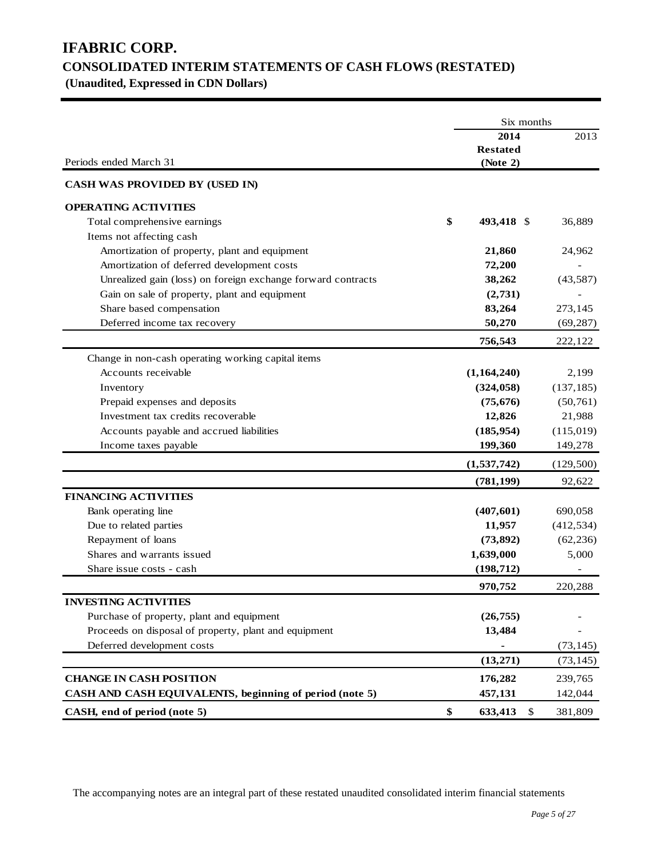# **IFABRIC CORP. CONSOLIDATED INTERIM STATEMENTS OF CASH FLOWS (RESTATED)**

**(Unaudited, Expressed in CDN Dollars)** 

|                                                              | Six months |                                     |            |  |
|--------------------------------------------------------------|------------|-------------------------------------|------------|--|
| Periods ended March 31                                       |            | 2014<br><b>Restated</b><br>(Note 2) | 2013       |  |
| <b>CASH WAS PROVIDED BY (USED IN)</b>                        |            |                                     |            |  |
| <b>OPERATING ACTIVITIES</b>                                  |            |                                     |            |  |
| Total comprehensive earnings                                 | \$         | 493,418 \$                          | 36,889     |  |
| Items not affecting cash                                     |            |                                     |            |  |
| Amortization of property, plant and equipment                |            | 21,860                              | 24,962     |  |
| Amortization of deferred development costs                   |            | 72,200                              |            |  |
| Unrealized gain (loss) on foreign exchange forward contracts |            | 38,262                              | (43, 587)  |  |
| Gain on sale of property, plant and equipment                |            | (2,731)                             |            |  |
| Share based compensation                                     |            | 83,264                              | 273,145    |  |
| Deferred income tax recovery                                 |            | 50,270                              | (69, 287)  |  |
|                                                              |            | 756,543                             | 222,122    |  |
| Change in non-cash operating working capital items           |            |                                     |            |  |
| Accounts receivable                                          |            | (1,164,240)                         | 2,199      |  |
| Inventory                                                    |            | (324, 058)                          | (137, 185) |  |
| Prepaid expenses and deposits                                |            | (75, 676)                           | (50, 761)  |  |
| Investment tax credits recoverable                           |            | 12,826                              | 21,988     |  |
| Accounts payable and accrued liabilities                     |            | (185, 954)                          | (115,019)  |  |
| Income taxes payable                                         |            | 199,360                             | 149,278    |  |
|                                                              |            | (1,537,742)                         | (129,500)  |  |
|                                                              |            | (781, 199)                          | 92,622     |  |
| <b>FINANCING ACTIVITIES</b>                                  |            |                                     |            |  |
| Bank operating line                                          |            | (407, 601)                          | 690,058    |  |
| Due to related parties                                       |            | 11,957                              | (412, 534) |  |
| Repayment of loans                                           |            | (73, 892)                           | (62, 236)  |  |
| Shares and warrants issued                                   |            | 1,639,000                           | 5,000      |  |
| Share issue costs - cash                                     |            | (198, 712)                          |            |  |
|                                                              |            | 970,752                             | 220,288    |  |
| <b>INVESTING ACTIVITIES</b>                                  |            |                                     |            |  |
| Purchase of property, plant and equipment                    |            | (26, 755)                           |            |  |
| Proceeds on disposal of property, plant and equipment        |            | 13,484                              |            |  |
| Deferred development costs                                   |            |                                     | (73, 145)  |  |
|                                                              |            | (13,271)                            | (73, 145)  |  |
| <b>CHANGE IN CASH POSITION</b>                               |            | 176,282                             | 239,765    |  |
| CASH AND CASH EQUIVALENTS, beginning of period (note 5)      |            | 457,131                             | 142,044    |  |
| CASH, end of period (note 5)                                 | \$         | 633,413<br>\$                       | 381,809    |  |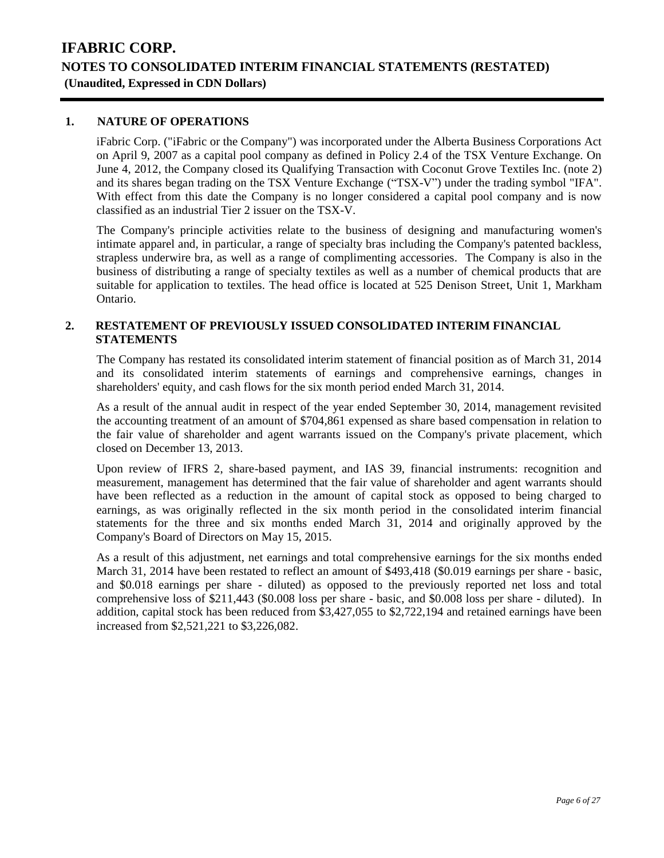### **1. NATURE OF OPERATIONS**

iFabric Corp. ("iFabric or the Company") was incorporated under the Alberta Business Corporations Act on April 9, 2007 as a capital pool company as defined in Policy 2.4 of the TSX Venture Exchange. On June 4, 2012, the Company closed its Qualifying Transaction with Coconut Grove Textiles Inc. (note 2) and its shares began trading on the TSX Venture Exchange ("TSX-V") under the trading symbol "IFA". With effect from this date the Company is no longer considered a capital pool company and is now classified as an industrial Tier 2 issuer on the TSX-V.

The Company's principle activities relate to the business of designing and manufacturing women's intimate apparel and, in particular, a range of specialty bras including the Company's patented backless, strapless underwire bra, as well as a range of complimenting accessories. The Company is also in the business of distributing a range of specialty textiles as well as a number of chemical products that are suitable for application to textiles. The head office is located at 525 Denison Street, Unit 1, Markham Ontario.

### **2. RESTATEMENT OF PREVIOUSLY ISSUED CONSOLIDATED INTERIM FINANCIAL STATEMENTS**

The Company has restated its consolidated interim statement of financial position as of March 31, 2014 and its consolidated interim statements of earnings and comprehensive earnings, changes in shareholders' equity, and cash flows for the six month period ended March 31, 2014.

As a result of the annual audit in respect of the year ended September 30, 2014, management revisited the accounting treatment of an amount of \$704,861 expensed as share based compensation in relation to the fair value of shareholder and agent warrants issued on the Company's private placement, which closed on December 13, 2013.

Upon review of IFRS 2, share-based payment, and IAS 39, financial instruments: recognition and measurement, management has determined that the fair value of shareholder and agent warrants should have been reflected as a reduction in the amount of capital stock as opposed to being charged to earnings, as was originally reflected in the six month period in the consolidated interim financial statements for the three and six months ended March 31, 2014 and originally approved by the Company's Board of Directors on May 15, 2015.

As a result of this adjustment, net earnings and total comprehensive earnings for the six months ended March 31, 2014 have been restated to reflect an amount of \$493,418 (\$0.019 earnings per share - basic, and \$0.018 earnings per share - diluted) as opposed to the previously reported net loss and total comprehensive loss of \$211,443 (\$0.008 loss per share - basic, and \$0.008 loss per share - diluted). In addition, capital stock has been reduced from \$3,427,055 to \$2,722,194 and retained earnings have been increased from \$2,521,221 to \$3,226,082.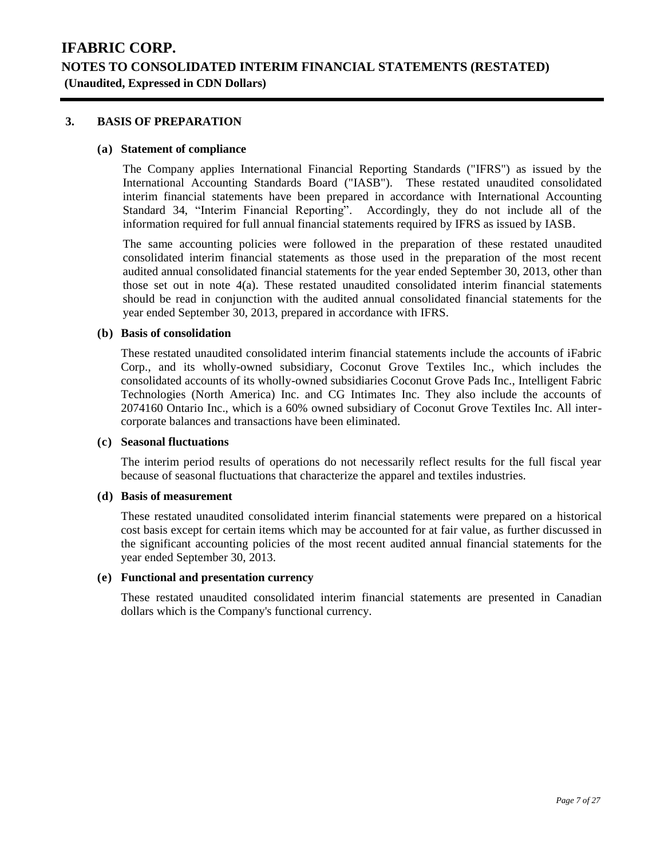### **3. BASIS OF PREPARATION**

#### **(a) Statement of compliance**

The Company applies International Financial Reporting Standards ("IFRS") as issued by the International Accounting Standards Board ("IASB"). These restated unaudited consolidated interim financial statements have been prepared in accordance with International Accounting Standard 34, "Interim Financial Reporting". Accordingly, they do not include all of the information required for full annual financial statements required by IFRS as issued by IASB.

The same accounting policies were followed in the preparation of these restated unaudited consolidated interim financial statements as those used in the preparation of the most recent audited annual consolidated financial statements for the year ended September 30, 2013, other than those set out in note 4(a). These restated unaudited consolidated interim financial statements should be read in conjunction with the audited annual consolidated financial statements for the year ended September 30, 2013, prepared in accordance with IFRS.

### **(b) Basis of consolidation**

These restated unaudited consolidated interim financial statements include the accounts of iFabric Corp., and its wholly-owned subsidiary, Coconut Grove Textiles Inc., which includes the consolidated accounts of its wholly-owned subsidiaries Coconut Grove Pads Inc., Intelligent Fabric Technologies (North America) Inc. and CG Intimates Inc. They also include the accounts of 2074160 Ontario Inc., which is a 60% owned subsidiary of Coconut Grove Textiles Inc. All intercorporate balances and transactions have been eliminated.

#### **(c) Seasonal fluctuations**

The interim period results of operations do not necessarily reflect results for the full fiscal year because of seasonal fluctuations that characterize the apparel and textiles industries.

#### **(d) Basis of measurement**

These restated unaudited consolidated interim financial statements were prepared on a historical cost basis except for certain items which may be accounted for at fair value, as further discussed in the significant accounting policies of the most recent audited annual financial statements for the year ended September 30, 2013.

### **(e) Functional and presentation currency**

These restated unaudited consolidated interim financial statements are presented in Canadian dollars which is the Company's functional currency.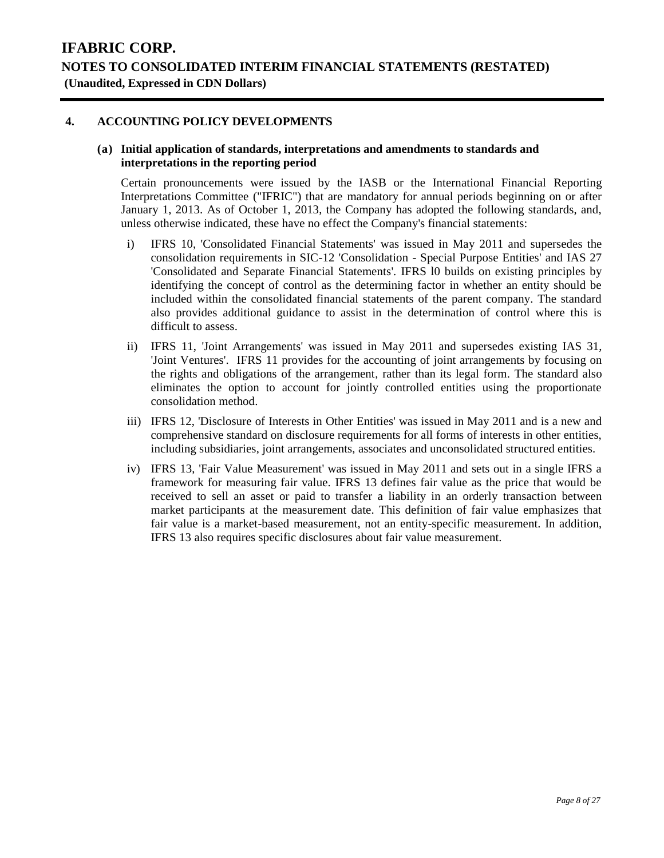### **4. ACCOUNTING POLICY DEVELOPMENTS**

#### **(a) Initial application of standards, interpretations and amendments to standards and interpretations in the reporting period**

Certain pronouncements were issued by the IASB or the International Financial Reporting Interpretations Committee ("IFRIC") that are mandatory for annual periods beginning on or after January 1, 2013. As of October 1, 2013, the Company has adopted the following standards, and, unless otherwise indicated, these have no effect the Company's financial statements:

- i) IFRS 10, 'Consolidated Financial Statements' was issued in May 2011 and supersedes the consolidation requirements in SIC-12 'Consolidation - Special Purpose Entities' and IAS 27 'Consolidated and Separate Financial Statements'. IFRS l0 builds on existing principles by identifying the concept of control as the determining factor in whether an entity should be included within the consolidated financial statements of the parent company. The standard also provides additional guidance to assist in the determination of control where this is difficult to assess.
- ii) IFRS 11, 'Joint Arrangements' was issued in May 2011 and supersedes existing IAS 31, 'Joint Ventures'. IFRS 11 provides for the accounting of joint arrangements by focusing on the rights and obligations of the arrangement, rather than its legal form. The standard also eliminates the option to account for jointly controlled entities using the proportionate consolidation method.
- iii) IFRS 12, 'Disclosure of Interests in Other Entities' was issued in May 2011 and is a new and comprehensive standard on disclosure requirements for all forms of interests in other entities, including subsidiaries, joint arrangements, associates and unconsolidated structured entities.
- iv) IFRS 13, 'Fair Value Measurement' was issued in May 2011 and sets out in a single IFRS a framework for measuring fair value. IFRS 13 defines fair value as the price that would be received to sell an asset or paid to transfer a liability in an orderly transaction between market participants at the measurement date. This definition of fair value emphasizes that fair value is a market-based measurement, not an entity-specific measurement. In addition, IFRS 13 also requires specific disclosures about fair value measurement.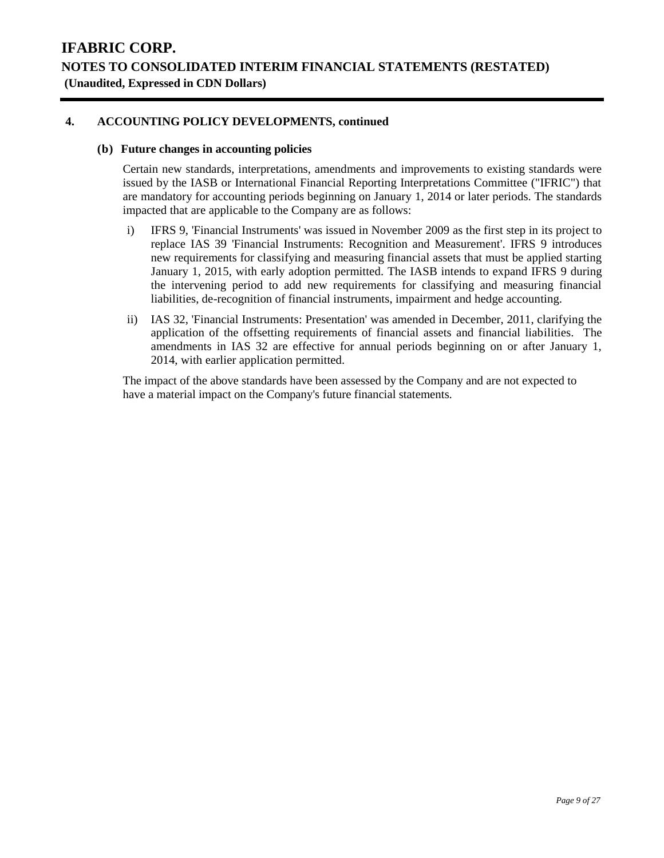### **4. ACCOUNTING POLICY DEVELOPMENTS, continued**

#### **(b) Future changes in accounting policies**

Certain new standards, interpretations, amendments and improvements to existing standards were issued by the IASB or International Financial Reporting Interpretations Committee ("IFRIC") that are mandatory for accounting periods beginning on January 1, 2014 or later periods. The standards impacted that are applicable to the Company are as follows:

- i) IFRS 9, 'Financial Instruments' was issued in November 2009 as the first step in its project to replace IAS 39 'Financial Instruments: Recognition and Measurement'. IFRS 9 introduces new requirements for classifying and measuring financial assets that must be applied starting January 1, 2015, with early adoption permitted. The IASB intends to expand IFRS 9 during the intervening period to add new requirements for classifying and measuring financial liabilities, de-recognition of financial instruments, impairment and hedge accounting.
- ii) IAS 32, 'Financial Instruments: Presentation' was amended in December, 2011, clarifying the application of the offsetting requirements of financial assets and financial liabilities. The amendments in IAS 32 are effective for annual periods beginning on or after January 1, 2014, with earlier application permitted.

The impact of the above standards have been assessed by the Company and are not expected to have a material impact on the Company's future financial statements.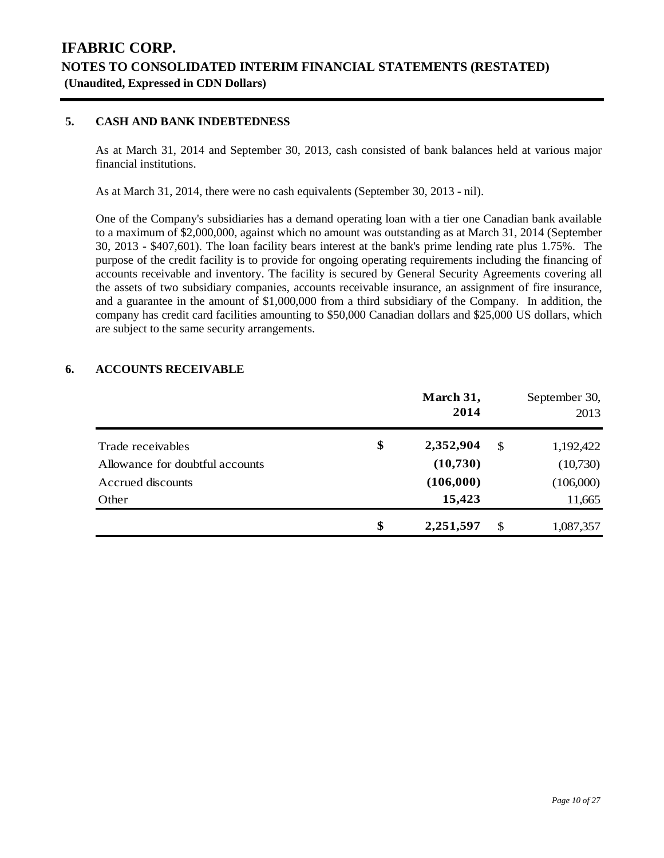### **5. CASH AND BANK INDEBTEDNESS**

As at March 31, 2014 and September 30, 2013, cash consisted of bank balances held at various major financial institutions.

As at March 31, 2014, there were no cash equivalents (September 30, 2013 - nil).

One of the Company's subsidiaries has a demand operating loan with a tier one Canadian bank available to a maximum of \$2,000,000, against which no amount was outstanding as at March 31, 2014 (September 30, 2013 - \$407,601). The loan facility bears interest at the bank's prime lending rate plus 1.75%. The purpose of the credit facility is to provide for ongoing operating requirements including the financing of accounts receivable and inventory. The facility is secured by General Security Agreements covering all the assets of two subsidiary companies, accounts receivable insurance, an assignment of fire insurance, and a guarantee in the amount of \$1,000,000 from a third subsidiary of the Company. In addition, the company has credit card facilities amounting to \$50,000 Canadian dollars and \$25,000 US dollars, which are subject to the same security arrangements.

#### **6. ACCOUNTS RECEIVABLE**

|                                 | March 31,<br>2014 |               | September 30,<br>2013 |
|---------------------------------|-------------------|---------------|-----------------------|
| Trade receivables               | \$<br>2,352,904   | $\mathbb{S}$  | 1,192,422             |
| Allowance for doubtful accounts | (10,730)          |               | (10,730)              |
| Accrued discounts               | (106,000)         |               | (106,000)             |
| Other                           | 15,423            |               | 11,665                |
|                                 | \$<br>2,251,597   | <sup>\$</sup> | 1,087,357             |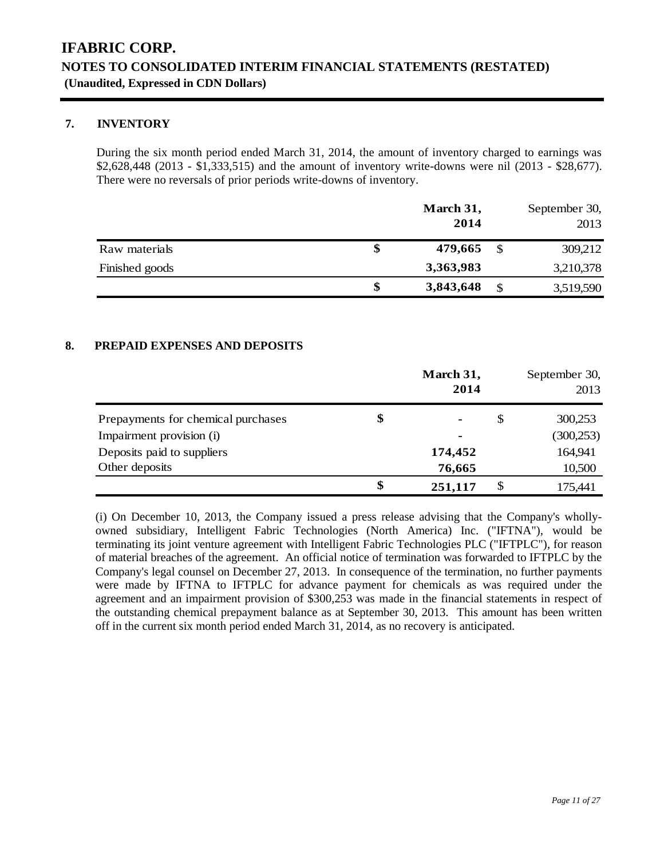### **7. INVENTORY**

During the six month period ended March 31, 2014, the amount of inventory charged to earnings was \$2,628,448 (2013 - \$1,333,515) and the amount of inventory write-downs were nil (2013 - \$28,677). There were no reversals of prior periods write-downs of inventory.

|                | March 31,<br>2014 |   | September 30,<br>2013 |
|----------------|-------------------|---|-----------------------|
| Raw materials  | 479,665           | S | 309,212               |
| Finished goods | 3,363,983         |   | 3,210,378             |
|                | 3,843,648         |   | 3,519,590             |

### **8. PREPAID EXPENSES AND DEPOSITS**

|                                    | March 31,<br>2014    |    | September 30,<br>2013 |
|------------------------------------|----------------------|----|-----------------------|
| Prepayments for chemical purchases | \$<br>$\blacksquare$ | \$ | 300,253               |
| Impairment provision (i)           | $\blacksquare$       |    | (300, 253)            |
| Deposits paid to suppliers         | 174,452              |    | 164,941               |
| Other deposits                     | 76,665               |    | 10,500                |
|                                    | \$<br>251,117        | S  | 175,441               |

(i) On December 10, 2013, the Company issued a press release advising that the Company's whollyowned subsidiary, Intelligent Fabric Technologies (North America) Inc. ("IFTNA"), would be terminating its joint venture agreement with Intelligent Fabric Technologies PLC ("IFTPLC"), for reason of material breaches of the agreement. An official notice of termination was forwarded to IFTPLC by the Company's legal counsel on December 27, 2013. In consequence of the termination, no further payments were made by IFTNA to IFTPLC for advance payment for chemicals as was required under the agreement and an impairment provision of \$300,253 was made in the financial statements in respect of the outstanding chemical prepayment balance as at September 30, 2013. This amount has been written off in the current six month period ended March 31, 2014, as no recovery is anticipated.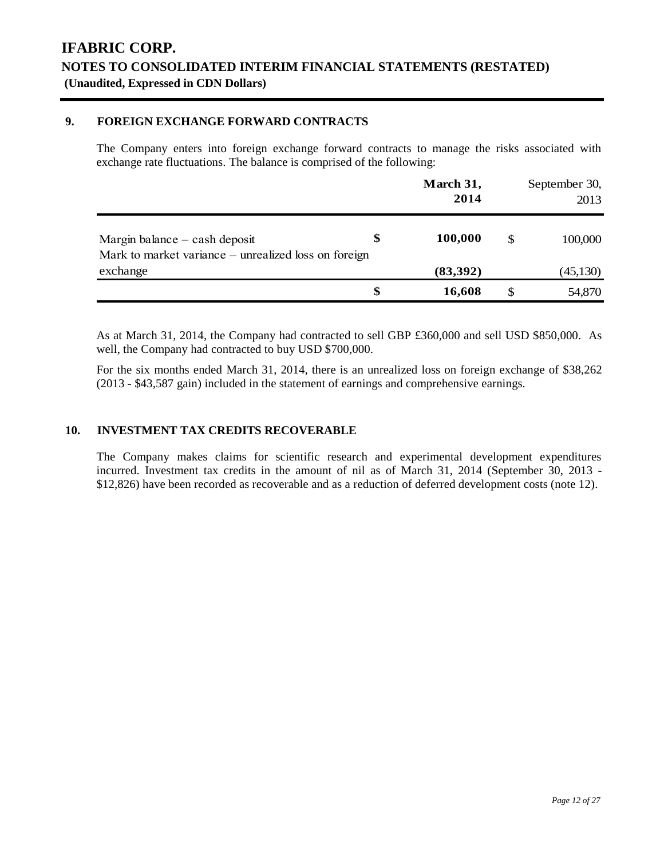### **9. FOREIGN EXCHANGE FORWARD CONTRACTS**

The Company enters into foreign exchange forward contracts to manage the risks associated with exchange rate fluctuations. The balance is comprised of the following:

|                                                                                         | March 31,<br>2014 |     | September 30,<br>2013 |
|-----------------------------------------------------------------------------------------|-------------------|-----|-----------------------|
| Margin balance $-$ cash deposit<br>Mark to market variance – unrealized loss on foreign | 100,000           | \$. | 100,000               |
| exchange                                                                                | (83,392)          |     | (45, 130)             |
|                                                                                         | \$<br>16,608      |     | 54,870                |

As at March 31, 2014, the Company had contracted to sell GBP £360,000 and sell USD \$850,000. As well, the Company had contracted to buy USD \$700,000.

For the six months ended March 31, 2014, there is an unrealized loss on foreign exchange of \$38,262 (2013 - \$43,587 gain) included in the statement of earnings and comprehensive earnings.

#### **10. INVESTMENT TAX CREDITS RECOVERABLE**

The Company makes claims for scientific research and experimental development expenditures incurred. Investment tax credits in the amount of nil as of March 31, 2014 (September 30, 2013 - \$12,826) have been recorded as recoverable and as a reduction of deferred development costs (note 12).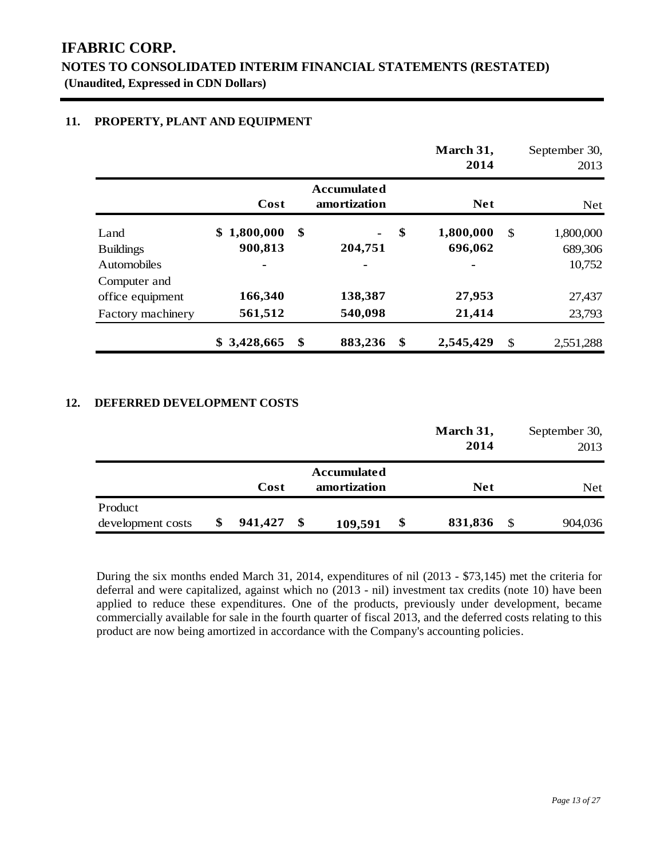### **NOTES TO CONSOLIDATED INTERIM FINANCIAL STATEMENTS (RESTATED) (Unaudited, Expressed in CDN Dollars)**

### **11. PROPERTY, PLANT AND EQUIPMENT**

|                                  |                             |                                    | March 31,<br>2014          |               | September 30,<br>2013 |
|----------------------------------|-----------------------------|------------------------------------|----------------------------|---------------|-----------------------|
|                                  | Cost                        | <b>Accumulated</b><br>amortization | <b>Net</b>                 |               | <b>Net</b>            |
| Land<br><b>Buildings</b>         | 1,800,000<br>SS.<br>900,813 | \$<br>204,751                      | \$<br>1,800,000<br>696,062 | \$            | 1,800,000<br>689,306  |
| <b>Automobiles</b>               |                             | $\overline{\phantom{0}}$           | -                          |               | 10,752                |
| Computer and<br>office equipment | 166,340                     | 138,387                            | 27,953                     |               | 27,437                |
| Factory machinery                | 561,512                     | 540,098                            | 21,414                     |               | 23,793                |
|                                  | 3,428,665<br>S.             | \$<br>883,236                      | \$<br>2,545,429            | $\mathcal{S}$ | 2,551,288             |

### **12. DEFERRED DEVELOPMENT COSTS**

|                   |         |               | March 31,     |    | September 30, |
|-------------------|---------|---------------|---------------|----|---------------|
|                   |         |               | 2014          |    | 2013          |
|                   |         | Accumulated   |               |    |               |
|                   | Cost    | amortization  | <b>Net</b>    |    | Net.          |
| Product           |         |               |               |    |               |
| development costs | 941,427 | \$<br>109,591 | \$<br>831,836 | -S | 904,036       |

During the six months ended March 31, 2014, expenditures of nil (2013 - \$73,145) met the criteria for deferral and were capitalized, against which no (2013 - nil) investment tax credits (note 10) have been applied to reduce these expenditures. One of the products, previously under development, became commercially available for sale in the fourth quarter of fiscal 2013, and the deferred costs relating to this product are now being amortized in accordance with the Company's accounting policies.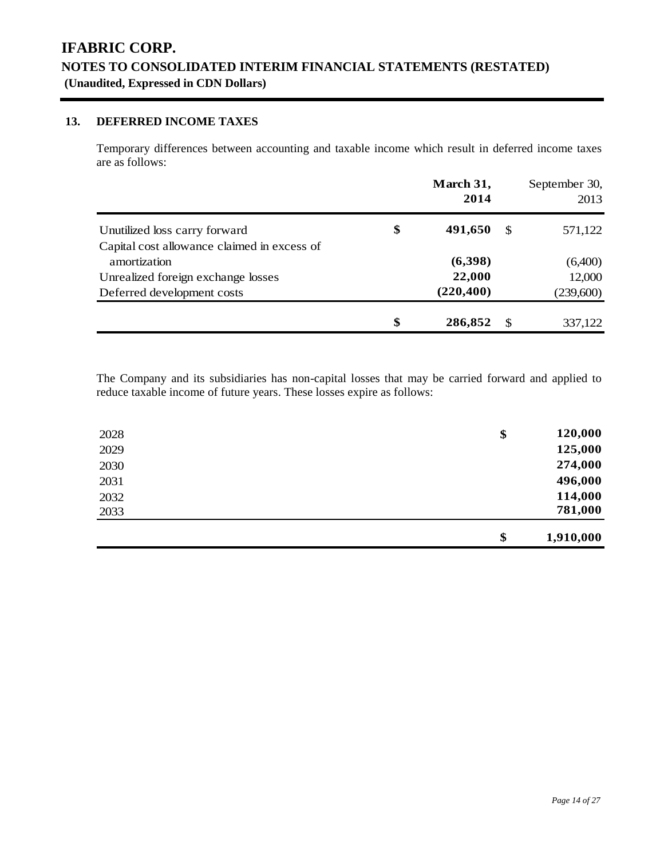### **13. DEFERRED INCOME TAXES**

Temporary differences between accounting and taxable income which result in deferred income taxes are as follows:

|                                             | March 31,<br>2014 |     | September 30,<br>2013 |
|---------------------------------------------|-------------------|-----|-----------------------|
| Unutilized loss carry forward               | \$<br>491,650     | -\$ | 571,122               |
| Capital cost allowance claimed in excess of |                   |     |                       |
| amortization                                | (6,398)           |     | (6,400)               |
| Unrealized foreign exchange losses          | 22,000            |     | 12,000                |
| Deferred development costs                  | (220, 400)        |     | (239,600)             |
|                                             | \$<br>286,852     | -S  | 337,122               |

The Company and its subsidiaries has non-capital losses that may be carried forward and applied to reduce taxable income of future years. These losses expire as follows:

| 2028 | \$<br>120,000   |
|------|-----------------|
| 2029 | 125,000         |
| 2030 | 274,000         |
| 2031 | 496,000         |
| 2032 | 114,000         |
| 2033 | 781,000         |
|      | \$<br>1,910,000 |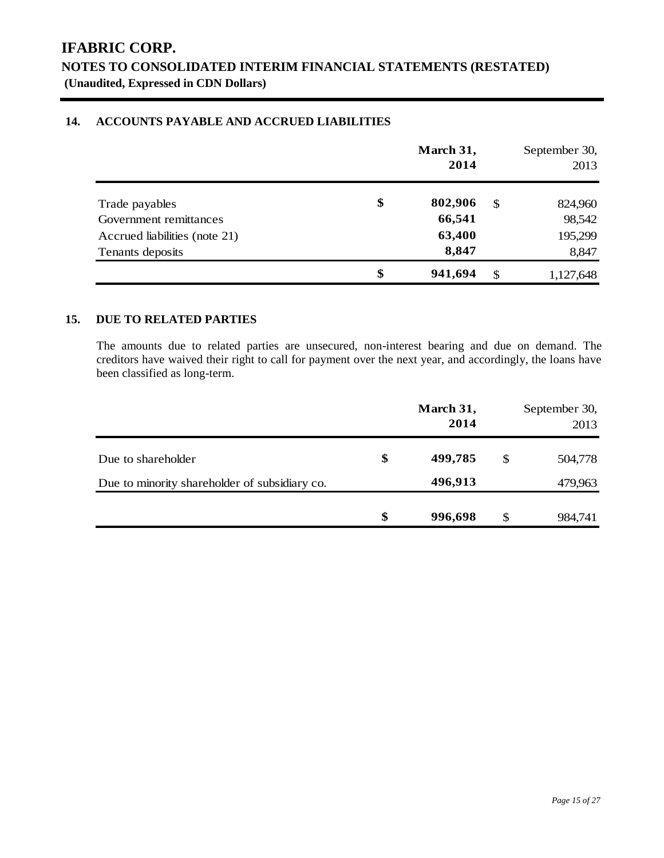### **14. ACCOUNTS PAYABLE AND ACCRUED LIABILITIES**

|                               | March 31,<br>2014 |     | September 30,<br>2013 |
|-------------------------------|-------------------|-----|-----------------------|
| Trade payables                | \$<br>802,906     | -S  | 824,960               |
| Government remittances        | 66,541            |     | 98,542                |
| Accrued liabilities (note 21) | 63,400            |     | 195,299               |
| Tenants deposits              | 8,847             |     | 8,847                 |
|                               | \$<br>941,694     | -\$ | 1,127,648             |

### **15. DUE TO RELATED PARTIES**

The amounts due to related parties are unsecured, non-interest bearing and due on demand. The creditors have waived their right to call for payment over the next year, and accordingly, the loans have been classified as long-term.

|                                               | March 31,<br>2014 |    | September 30,<br>2013 |
|-----------------------------------------------|-------------------|----|-----------------------|
| Due to shareholder                            | \$<br>499,785     | \$ | 504,778               |
| Due to minority shareholder of subsidiary co. | 496,913           |    | 479,963               |
|                                               | \$<br>996,698     | S  | 984,741               |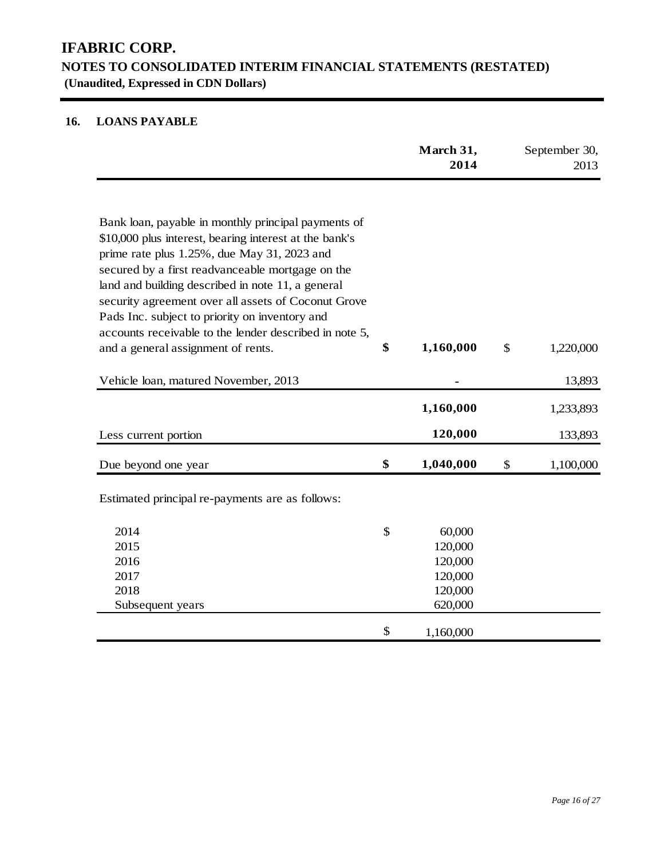### **16. LOANS PAYABLE**

|                                                                                                       | March 31,<br>2014 | September 30,<br>2013 |
|-------------------------------------------------------------------------------------------------------|-------------------|-----------------------|
|                                                                                                       |                   |                       |
| Bank loan, payable in monthly principal payments of                                                   |                   |                       |
| \$10,000 plus interest, bearing interest at the bank's                                                |                   |                       |
| prime rate plus 1.25%, due May 31, 2023 and                                                           |                   |                       |
| secured by a first readvanceable mortgage on the<br>land and building described in note 11, a general |                   |                       |
| security agreement over all assets of Coconut Grove                                                   |                   |                       |
| Pads Inc. subject to priority on inventory and                                                        |                   |                       |
| accounts receivable to the lender described in note 5,                                                |                   |                       |
| and a general assignment of rents.                                                                    | \$<br>1,160,000   | \$<br>1,220,000       |
| Vehicle loan, matured November, 2013                                                                  |                   | 13,893                |
|                                                                                                       | 1,160,000         | 1,233,893             |
| Less current portion                                                                                  | 120,000           | 133,893               |
| Due beyond one year                                                                                   | \$<br>1,040,000   | \$<br>1,100,000       |
| Estimated principal re-payments are as follows:                                                       |                   |                       |
| 2014                                                                                                  | \$<br>60,000      |                       |
| 2015                                                                                                  | 120,000           |                       |
| 2016                                                                                                  | 120,000           |                       |
| 2017                                                                                                  | 120,000           |                       |
| 2018                                                                                                  | 120,000           |                       |
| Subsequent years                                                                                      | 620,000           |                       |
|                                                                                                       | \$<br>1,160,000   |                       |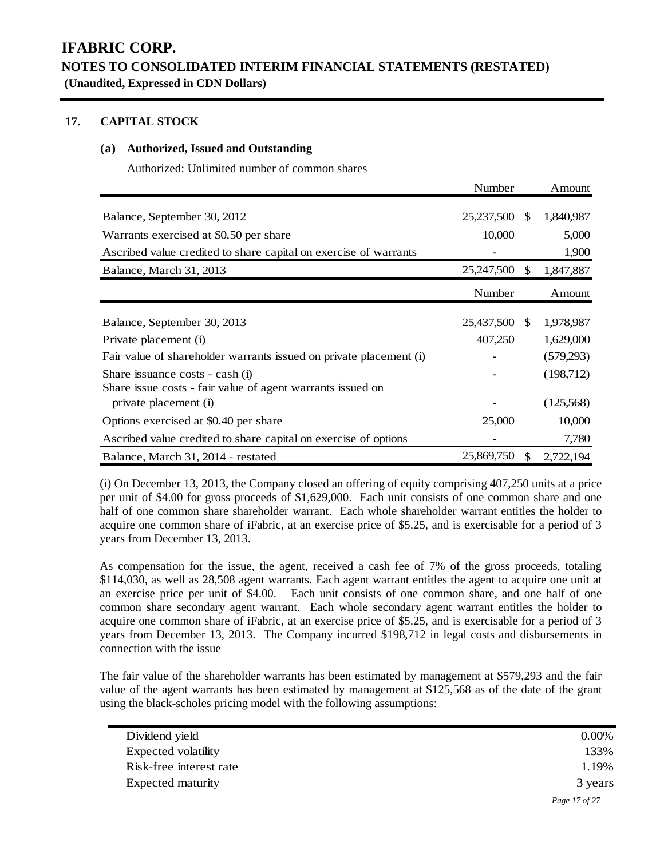### **17. CAPITAL STOCK**

### **(a) Authorized, Issued and Outstanding**

Authorized: Unlimited number of common shares

|                                                                                               | Number     |               | Amount    |
|-----------------------------------------------------------------------------------------------|------------|---------------|-----------|
| Balance, September 30, 2012                                                                   | 25,237,500 | <sup>\$</sup> | 1,840,987 |
| Warrants exercised at \$0.50 per share                                                        | 10,000     |               | 5,000     |
| Ascribed value credited to share capital on exercise of warrants                              |            |               | 1,900     |
| Balance, March 31, 2013                                                                       | 25,247,500 | \$            | 1,847,887 |
|                                                                                               | Number     |               | Amount    |
| Balance, September 30, 2013                                                                   | 25,437,500 | -SS           | 1,978,987 |
| Private placement (i)                                                                         | 407,250    |               | 1,629,000 |
| Fair value of shareholder warrants issued on private placement (i)                            |            |               | (579,293) |
| Share issuance costs - cash (i)<br>Share issue costs - fair value of agent warrants issued on |            |               | (198,712) |
| private placement (i)                                                                         |            |               | (125,568) |
| Options exercised at \$0.40 per share                                                         | 25,000     |               | 10,000    |
| Ascribed value credited to share capital on exercise of options                               |            |               | 7,780     |
| Balance, March 31, 2014 - restated                                                            | 25,869,750 | <sup>\$</sup> | 2,722,194 |

(i) On December 13, 2013, the Company closed an offering of equity comprising 407,250 units at a price per unit of \$4.00 for gross proceeds of \$1,629,000. Each unit consists of one common share and one half of one common share shareholder warrant. Each whole shareholder warrant entitles the holder to acquire one common share of iFabric, at an exercise price of \$5.25, and is exercisable for a period of 3 years from December 13, 2013.

As compensation for the issue, the agent, received a cash fee of 7% of the gross proceeds, totaling \$114,030, as well as 28,508 agent warrants. Each agent warrant entitles the agent to acquire one unit at an exercise price per unit of \$4.00. Each unit consists of one common share, and one half of one common share secondary agent warrant. Each whole secondary agent warrant entitles the holder to acquire one common share of iFabric, at an exercise price of \$5.25, and is exercisable for a period of 3 years from December 13, 2013. The Company incurred \$198,712 in legal costs and disbursements in connection with the issue

The fair value of the shareholder warrants has been estimated by management at \$579,293 and the fair value of the agent warrants has been estimated by management at \$125,568 as of the date of the grant using the black-scholes pricing model with the following assumptions:

| Dividend yield          | $0.00\%$      |
|-------------------------|---------------|
| Expected volatility     | 133%          |
| Risk-free interest rate | 1.19%         |
| Expected maturity       | 3 years       |
|                         | Page 17 of 27 |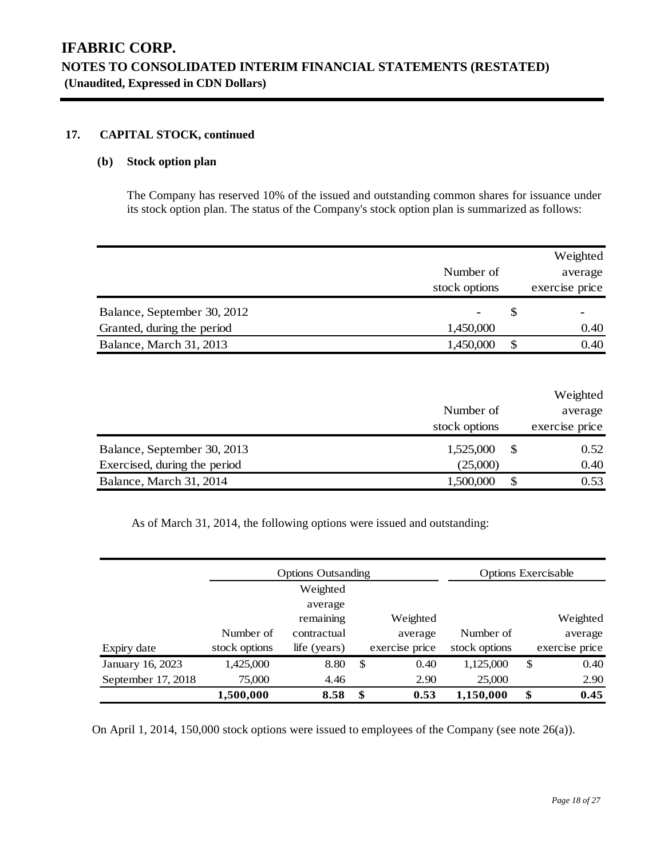### **17. CAPITAL STOCK, continued**

### **(b) Stock option plan**

The Company has reserved 10% of the issued and outstanding common shares for issuance under its stock option plan. The status of the Company's stock option plan is summarized as follows:

|                             |               |   | Weighted       |
|-----------------------------|---------------|---|----------------|
|                             | Number of     |   | average        |
|                             | stock options |   | exercise price |
| Balance, September 30, 2012 | ۰             | S |                |
| Granted, during the period  | 1,450,000     |   | 0.40           |
| Balance, March 31, 2013     | 1,450,000     |   | 0.40           |

|                              |               | Weighted       |
|------------------------------|---------------|----------------|
|                              | Number of     | average        |
|                              | stock options | exercise price |
| Balance, September 30, 2013  | 1,525,000     | 0.52           |
| Exercised, during the period | (25,000)      | 0.40           |
| Balance, March 31, 2014      | 1,500,000     | 0.53           |

As of March 31, 2014, the following options were issued and outstanding:

|                    |               | <b>Options Outsanding</b> |                |               | <b>Options Exercisable</b> |
|--------------------|---------------|---------------------------|----------------|---------------|----------------------------|
|                    |               | Weighted                  |                |               |                            |
|                    |               | average                   |                |               |                            |
|                    |               | remaining                 | Weighted       |               | Weighted                   |
|                    | Number of     | contractual               | average        | Number of     | average                    |
| Expiry date        | stock options | life (years)              | exercise price | stock options | exercise price             |
| January 16, 2023   | 1,425,000     | 8.80                      | \$<br>0.40     | 1,125,000     | \$<br>0.40                 |
| September 17, 2018 | 75,000        | 4.46                      | 2.90           | 25,000        | 2.90                       |
|                    | 1,500,000     | 8.58                      | \$<br>0.53     | 1,150,000     | \$<br>0.45                 |

On April 1, 2014, 150,000 stock options were issued to employees of the Company (see note 26(a)).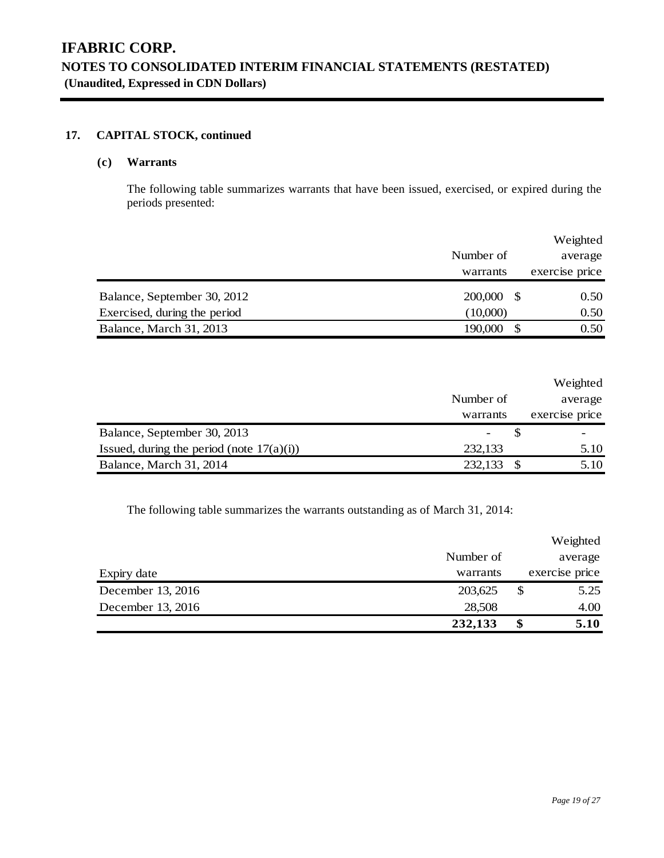### **17. CAPITAL STOCK, continued**

### **(c) Warrants**

The following table summarizes warrants that have been issued, exercised, or expired during the periods presented:

|                              |           |      | Weighted       |
|------------------------------|-----------|------|----------------|
|                              | Number of |      | average        |
|                              | warrants  |      | exercise price |
| Balance, September 30, 2012  | 200,000   | - \$ | 0.50           |
| Exercised, during the period | (10,000)  |      | 0.50           |
| Balance, March 31, 2013      | 190,000   |      | 0.50           |

|                                              |           | Weighted       |
|----------------------------------------------|-----------|----------------|
|                                              | Number of | average        |
|                                              | warrants  | exercise price |
| Balance, September 30, 2013                  |           |                |
| Issued, during the period (note $17(a)(i)$ ) | 232,133   | 5.10           |
| Balance, March 31, 2014                      | 232,133   | 5.10           |

The following table summarizes the warrants outstanding as of March 31, 2014:

|                   |           | Weighted       |
|-------------------|-----------|----------------|
|                   | Number of | average        |
| Expiry date       | warrants  | exercise price |
| December 13, 2016 | 203,625   | \$<br>5.25     |
| December 13, 2016 | 28,508    | 4.00           |
|                   | 232,133   | \$<br>5.10     |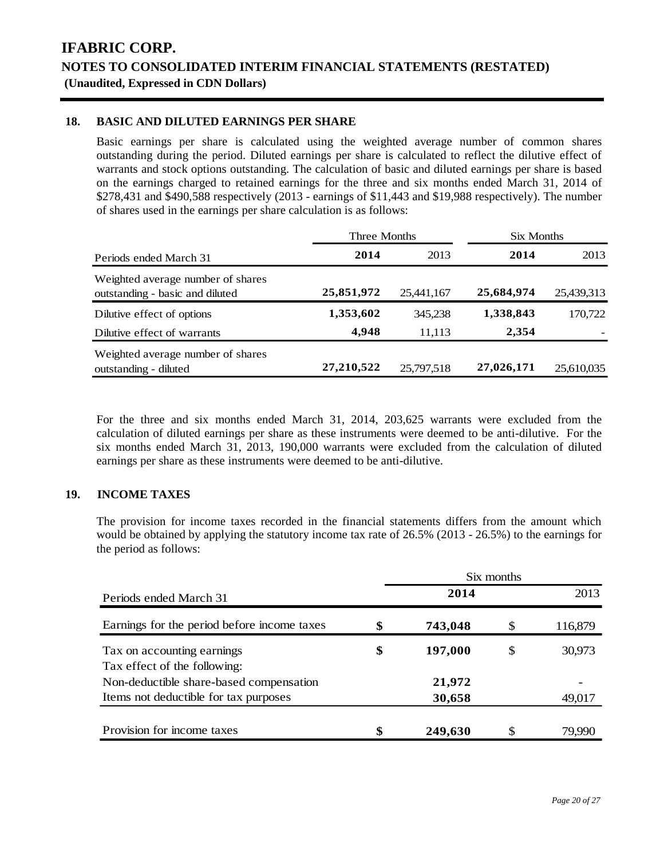### **18. BASIC AND DILUTED EARNINGS PER SHARE**

Basic earnings per share is calculated using the weighted average number of common shares outstanding during the period. Diluted earnings per share is calculated to reflect the dilutive effect of warrants and stock options outstanding. The calculation of basic and diluted earnings per share is based on the earnings charged to retained earnings for the three and six months ended March 31, 2014 of \$278,431 and \$490,588 respectively (2013 - earnings of \$11,443 and \$19,988 respectively). The number of shares used in the earnings per share calculation is as follows:

|                                                                      | Three Months |            | Six Months |            |  |  |
|----------------------------------------------------------------------|--------------|------------|------------|------------|--|--|
| Periods ended March 31                                               | 2014         | 2013       | 2014       | 2013       |  |  |
| Weighted average number of shares<br>outstanding - basic and diluted | 25,851,972   | 25,441,167 | 25,684,974 | 25,439,313 |  |  |
| Dilutive effect of options                                           | 1,353,602    | 345,238    | 1,338,843  | 170,722    |  |  |
| Dilutive effect of warrants                                          | 4,948        | 11.113     | 2,354      |            |  |  |
| Weighted average number of shares<br>outstanding - diluted           | 27,210,522   | 25,797,518 | 27,026,171 | 25,610,035 |  |  |

For the three and six months ended March 31, 2014, 203,625 warrants were excluded from the calculation of diluted earnings per share as these instruments were deemed to be anti-dilutive. For the six months ended March 31, 2013, 190,000 warrants were excluded from the calculation of diluted earnings per share as these instruments were deemed to be anti-dilutive.

### **19. INCOME TAXES**

The provision for income taxes recorded in the financial statements differs from the amount which would be obtained by applying the statutory income tax rate of 26.5% (2013 - 26.5%) to the earnings for the period as follows:

|                                             |               | Six months |         |
|---------------------------------------------|---------------|------------|---------|
| Periods ended March 31                      | 2014          |            | 2013    |
| Earnings for the period before income taxes | \$<br>743,048 |            | 116,879 |
| Tax on accounting earnings                  | \$<br>197,000 | S          | 30,973  |
| Tax effect of the following:                |               |            |         |
| Non-deductible share-based compensation     | 21,972        |            |         |
| Items not deductible for tax purposes       | 30,658        |            | 49,017  |
| Provision for income taxes                  | \$<br>249,630 |            | 79.990  |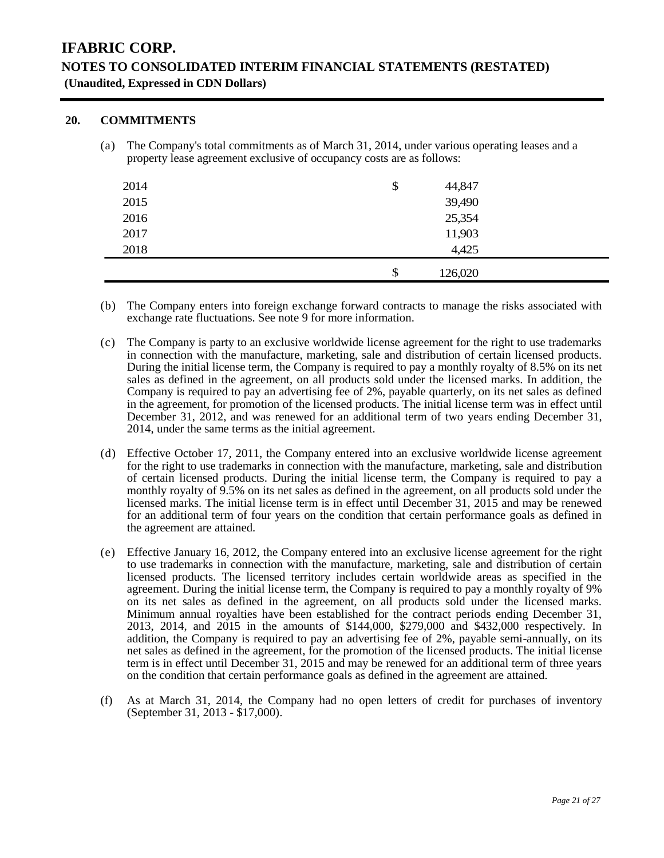### **20. COMMITMENTS**

(a) The Company's total commitments as of March 31, 2014, under various operating leases and a property lease agreement exclusive of occupancy costs are as follows:

| 2014 | \$<br>44,847  |  |
|------|---------------|--|
| 2015 | 39,490        |  |
| 2016 | 25,354        |  |
| 2017 | 11,903        |  |
| 2018 | 4,425         |  |
|      | \$<br>126,020 |  |

- (b) The Company enters into foreign exchange forward contracts to manage the risks associated with exchange rate fluctuations. See note 9 for more information.
- (c) The Company is party to an exclusive worldwide license agreement for the right to use trademarks in connection with the manufacture, marketing, sale and distribution of certain licensed products. During the initial license term, the Company is required to pay a monthly royalty of 8.5% on its net sales as defined in the agreement, on all products sold under the licensed marks. In addition, the Company is required to pay an advertising fee of 2%, payable quarterly, on its net sales as defined in the agreement, for promotion of the licensed products. The initial license term was in effect until December 31, 2012, and was renewed for an additional term of two years ending December 31, 2014, under the same terms as the initial agreement.
- (d) Effective October 17, 2011, the Company entered into an exclusive worldwide license agreement for the right to use trademarks in connection with the manufacture, marketing, sale and distribution of certain licensed products. During the initial license term, the Company is required to pay a monthly royalty of 9.5% on its net sales as defined in the agreement, on all products sold under the licensed marks. The initial license term is in effect until December 31, 2015 and may be renewed for an additional term of four years on the condition that certain performance goals as defined in the agreement are attained.
- (e) Effective January 16, 2012, the Company entered into an exclusive license agreement for the right to use trademarks in connection with the manufacture, marketing, sale and distribution of certain licensed products. The licensed territory includes certain worldwide areas as specified in the agreement. During the initial license term, the Company is required to pay a monthly royalty of 9% on its net sales as defined in the agreement, on all products sold under the licensed marks. Minimum annual royalties have been established for the contract periods ending December 31, 2013, 2014, and 2015 in the amounts of \$144,000, \$279,000 and \$432,000 respectively. In addition, the Company is required to pay an advertising fee of 2%, payable semi-annually, on its net sales as defined in the agreement, for the promotion of the licensed products. The initial license term is in effect until December 31, 2015 and may be renewed for an additional term of three years on the condition that certain performance goals as defined in the agreement are attained.
- (f) As at March 31, 2014, the Company had no open letters of credit for purchases of inventory (September 31, 2013 - \$17,000).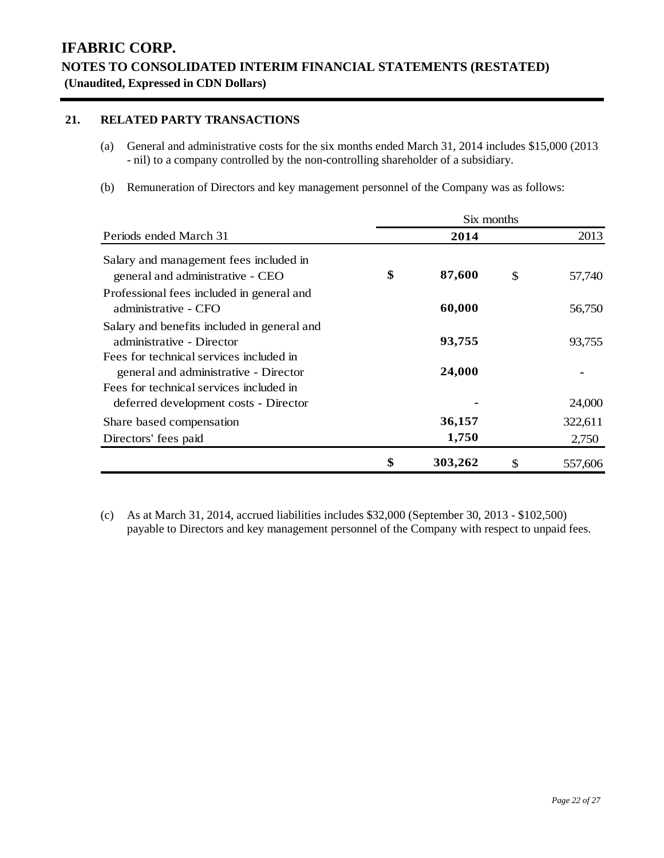### **21. RELATED PARTY TRANSACTIONS**

- (a) General and administrative costs for the six months ended March 31, 2014 includes \$15,000 (2013 - nil) to a company controlled by the non-controlling shareholder of a subsidiary.
- (b) Remuneration of Directors and key management personnel of the Company was as follows:

|                                             | Six months |         |    |         |  |  |  |  |
|---------------------------------------------|------------|---------|----|---------|--|--|--|--|
| Periods ended March 31                      |            | 2014    |    | 2013    |  |  |  |  |
| Salary and management fees included in      |            |         |    |         |  |  |  |  |
| general and administrative - CEO            | \$         | 87,600  | \$ | 57,740  |  |  |  |  |
| Professional fees included in general and   |            |         |    |         |  |  |  |  |
| administrative - CFO                        |            | 60,000  |    | 56,750  |  |  |  |  |
| Salary and benefits included in general and |            |         |    |         |  |  |  |  |
| administrative - Director                   |            | 93,755  |    | 93,755  |  |  |  |  |
| Fees for technical services included in     |            |         |    |         |  |  |  |  |
| general and administrative - Director       |            | 24,000  |    |         |  |  |  |  |
| Fees for technical services included in     |            |         |    |         |  |  |  |  |
| deferred development costs - Director       |            |         |    | 24,000  |  |  |  |  |
| Share based compensation                    |            | 36,157  |    | 322,611 |  |  |  |  |
| Directors' fees paid                        |            | 1,750   |    | 2,750   |  |  |  |  |
|                                             | \$         | 303,262 | \$ | 557,606 |  |  |  |  |

(c) As at March 31, 2014, accrued liabilities includes \$32,000 (September 30, 2013 - \$102,500) payable to Directors and key management personnel of the Company with respect to unpaid fees.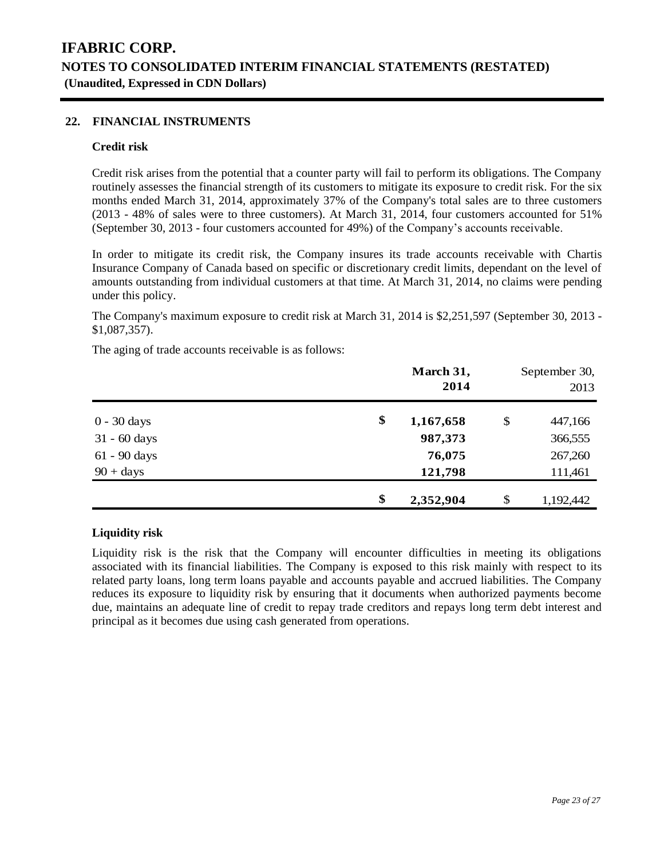### **22. FINANCIAL INSTRUMENTS**

#### **Credit risk**

Credit risk arises from the potential that a counter party will fail to perform its obligations. The Company routinely assesses the financial strength of its customers to mitigate its exposure to credit risk. For the six months ended March 31, 2014, approximately 37% of the Company's total sales are to three customers (2013 - 48% of sales were to three customers). At March 31, 2014, four customers accounted for 51% (September 30, 2013 - four customers accounted for 49%) of the Company's accounts receivable.

In order to mitigate its credit risk, the Company insures its trade accounts receivable with Chartis Insurance Company of Canada based on specific or discretionary credit limits, dependant on the level of amounts outstanding from individual customers at that time. At March 31, 2014, no claims were pending under this policy.

The Company's maximum exposure to credit risk at March 31, 2014 is \$2,251,597 (September 30, 2013 - \$1,087,357).

The aging of trade accounts receivable is as follows:

|                | March 31,<br>2014 | September 30,<br>2013 |
|----------------|-------------------|-----------------------|
| $0 - 30$ days  | \$<br>1,167,658   | \$<br>447,166         |
| $31 - 60$ days | 987,373           | 366,555               |
| 61 - 90 days   | 76,075            | 267,260               |
| $90 + days$    | 121,798           | 111,461               |
|                | \$<br>2,352,904   | \$<br>1,192,442       |

### **Liquidity risk**

Liquidity risk is the risk that the Company will encounter difficulties in meeting its obligations associated with its financial liabilities. The Company is exposed to this risk mainly with respect to its related party loans, long term loans payable and accounts payable and accrued liabilities. The Company reduces its exposure to liquidity risk by ensuring that it documents when authorized payments become due, maintains an adequate line of credit to repay trade creditors and repays long term debt interest and principal as it becomes due using cash generated from operations.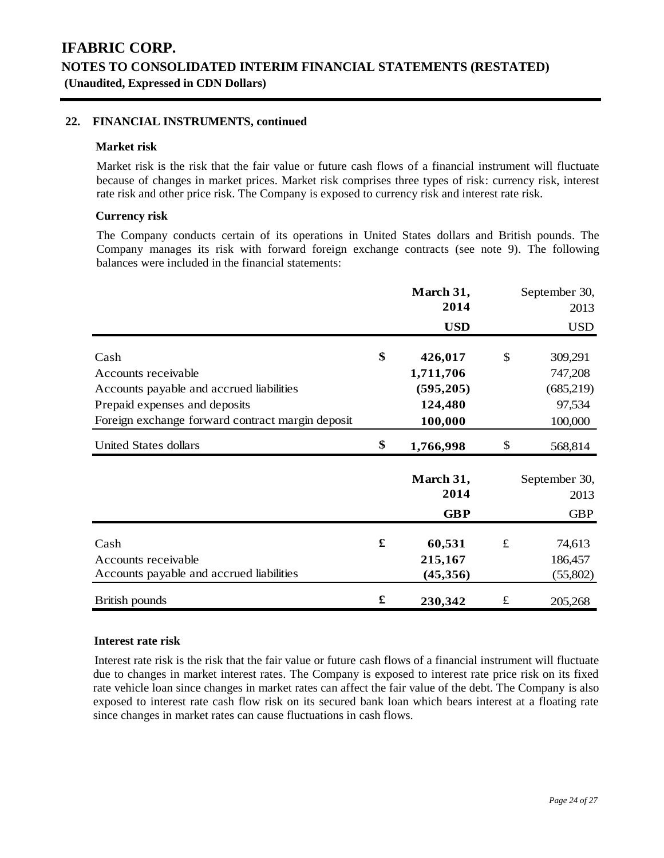### **22. FINANCIAL INSTRUMENTS, continued**

#### **Market risk**

Market risk is the risk that the fair value or future cash flows of a financial instrument will fluctuate because of changes in market prices. Market risk comprises three types of risk: currency risk, interest rate risk and other price risk. The Company is exposed to currency risk and interest rate risk.

### **Currency risk**

The Company conducts certain of its operations in United States dollars and British pounds. The Company manages its risk with forward foreign exchange contracts (see note 9). The following balances were included in the financial statements:

|                                                                                                                                                              |    | March 31,                                                |           | September 30,                                        |
|--------------------------------------------------------------------------------------------------------------------------------------------------------------|----|----------------------------------------------------------|-----------|------------------------------------------------------|
|                                                                                                                                                              |    | 2014<br><b>USD</b>                                       |           | 2013<br><b>USD</b>                                   |
| Cash<br>Accounts receivable<br>Accounts payable and accrued liabilities<br>Prepaid expenses and deposits<br>Foreign exchange forward contract margin deposit | \$ | 426,017<br>1,711,706<br>(595, 205)<br>124,480<br>100,000 | \$        | 309,291<br>747,208<br>(685,219)<br>97,534<br>100,000 |
| <b>United States dollars</b>                                                                                                                                 | \$ | 1,766,998                                                | \$        | 568,814                                              |
|                                                                                                                                                              |    | March 31,<br>2014<br><b>GBP</b>                          |           | September 30,<br>2013<br><b>GBP</b>                  |
| Cash<br>Accounts receivable<br>Accounts payable and accrued liabilities                                                                                      | £  | 60,531<br>215,167<br>(45,356)                            | $\pounds$ | 74,613<br>186,457<br>(55,802)                        |
| <b>British pounds</b>                                                                                                                                        | £  | 230,342                                                  | $\pounds$ | 205,268                                              |

#### **Interest rate risk**

Interest rate risk is the risk that the fair value or future cash flows of a financial instrument will fluctuate due to changes in market interest rates. The Company is exposed to interest rate price risk on its fixed rate vehicle loan since changes in market rates can affect the fair value of the debt. The Company is also exposed to interest rate cash flow risk on its secured bank loan which bears interest at a floating rate since changes in market rates can cause fluctuations in cash flows.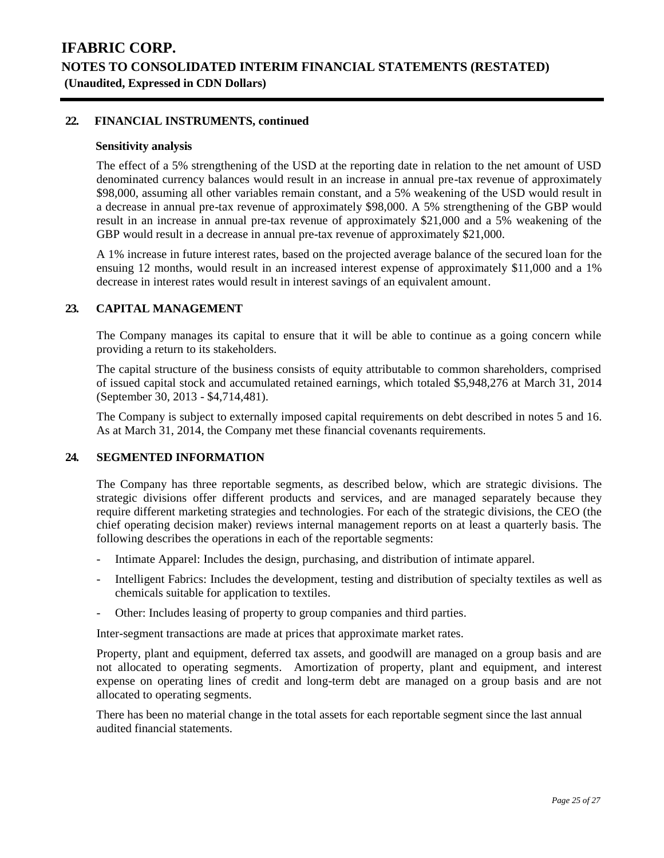#### **22. FINANCIAL INSTRUMENTS, continued**

#### **Sensitivity analysis**

The effect of a 5% strengthening of the USD at the reporting date in relation to the net amount of USD denominated currency balances would result in an increase in annual pre-tax revenue of approximately \$98,000, assuming all other variables remain constant, and a 5% weakening of the USD would result in a decrease in annual pre-tax revenue of approximately \$98,000. A 5% strengthening of the GBP would result in an increase in annual pre-tax revenue of approximately \$21,000 and a 5% weakening of the GBP would result in a decrease in annual pre-tax revenue of approximately \$21,000.

A 1% increase in future interest rates, based on the projected average balance of the secured loan for the ensuing 12 months, would result in an increased interest expense of approximately \$11,000 and a 1% decrease in interest rates would result in interest savings of an equivalent amount.

#### **23. CAPITAL MANAGEMENT**

The Company manages its capital to ensure that it will be able to continue as a going concern while providing a return to its stakeholders.

The capital structure of the business consists of equity attributable to common shareholders, comprised of issued capital stock and accumulated retained earnings, which totaled \$5,948,276 at March 31, 2014 (September 30, 2013 - \$4,714,481).

The Company is subject to externally imposed capital requirements on debt described in notes 5 and 16. As at March 31, 2014, the Company met these financial covenants requirements.

#### **24. SEGMENTED INFORMATION**

The Company has three reportable segments, as described below, which are strategic divisions. The strategic divisions offer different products and services, and are managed separately because they require different marketing strategies and technologies. For each of the strategic divisions, the CEO (the chief operating decision maker) reviews internal management reports on at least a quarterly basis. The following describes the operations in each of the reportable segments:

- Intimate Apparel: Includes the design, purchasing, and distribution of intimate apparel.
- Intelligent Fabrics: Includes the development, testing and distribution of specialty textiles as well as chemicals suitable for application to textiles.
- Other: Includes leasing of property to group companies and third parties.

Inter-segment transactions are made at prices that approximate market rates.

Property, plant and equipment, deferred tax assets, and goodwill are managed on a group basis and are not allocated to operating segments. Amortization of property, plant and equipment, and interest expense on operating lines of credit and long-term debt are managed on a group basis and are not allocated to operating segments.

There has been no material change in the total assets for each reportable segment since the last annual audited financial statements.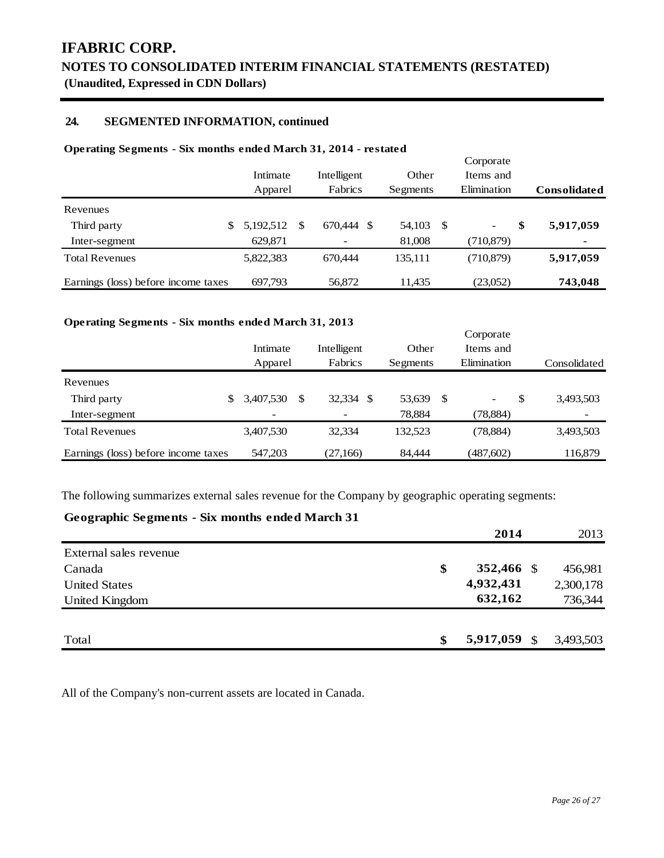### **24. SEGMENTED INFORMATION, continued**

#### **Operating Segments - Six months ended March 31, 2014 - restated**

|                                     | Intimate<br>Apparel |    | Intelligent<br>Fabrics | Other<br>Segments |    | Corporate<br>Items and<br>Elimination | <b>Consolidated</b> |
|-------------------------------------|---------------------|----|------------------------|-------------------|----|---------------------------------------|---------------------|
| Revenues                            |                     |    |                        |                   |    |                                       |                     |
| Third party                         | 5,192,512           | -8 | 670.444<br>S           | 54,103            | -S | \$<br>-                               | 5,917,059           |
| Inter-segment                       | 629,871             |    |                        | 81,008            |    | (710, 879)                            |                     |
| <b>Total Revenues</b>               | 5,822,383           |    | 670.444                | 135,111           |    | (710, 879)                            | 5,917,059           |
| Earnings (loss) before income taxes | 697,793             |    | 56,872                 | 11,435            |    | (23,052)                              | 743,048             |

#### **Operating Segments - Six months ended March 31, 2013**

|                                     | Intimate<br>Apparel | Intelligent<br>Fabrics | Other<br>Segments |    | Corporate<br>Items and<br>Elimination |   | Consolidated |
|-------------------------------------|---------------------|------------------------|-------------------|----|---------------------------------------|---|--------------|
| Revenues                            |                     |                        |                   |    |                                       |   |              |
| Third party<br>\$                   | 3,407,530           | 32,334<br>\$.          | 53,639            | -S | Ξ.                                    | S | 3,493,503    |
| Inter-segment                       | $\qquad \qquad$     |                        | 78,884            |    | (78, 884)                             |   |              |
| <b>Total Revenues</b>               | 3,407,530           | 32,334                 | 132,523           |    | (78, 884)                             |   | 3,493,503    |
| Earnings (loss) before income taxes | 547,203             | (27,166)               | 84,444            |    | (487,602)                             |   | 116,879      |

The following summarizes external sales revenue for the Company by geographic operating segments:

### **Geographic Segments - Six months ended March 31**

|                        | 2014             |      | 2013      |
|------------------------|------------------|------|-----------|
| External sales revenue |                  |      |           |
| Canada                 | \$<br>352,466 \$ |      | 456,981   |
| <b>United States</b>   | 4,932,431        |      | 2,300,178 |
| United Kingdom         | 632,162          |      | 736,344   |
|                        |                  |      |           |
| Total                  | \$<br>5,917,059  | - \$ | 3,493,503 |

All of the Company's non-current assets are located in Canada.